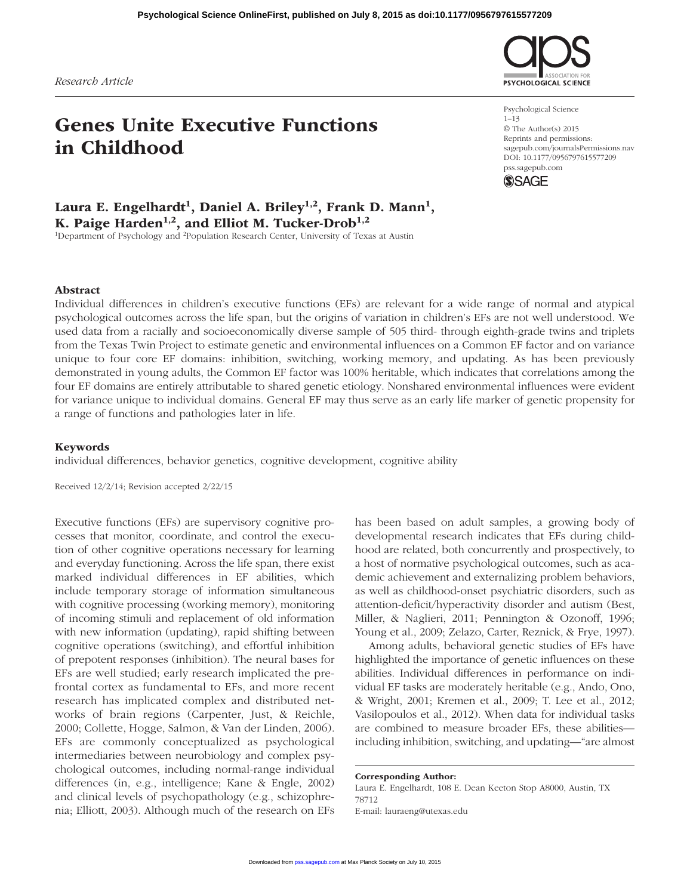*Research Article*

# Genes Unite Executive Functions in Childhood



Psychological Science 1–13 © The Author(s) 2015 Reprints and permissions: sagepub.com/journalsPermissions.nav DOI: 10.1177/0956797615577209 pss.sagepub.com



## Laura E. Engelhardt<sup>1</sup>, Daniel A. Briley<sup>1,2</sup>, Frank D. Mann<sup>1</sup>, K. Paige Harden<sup>1,2</sup>, and Elliot M. Tucker-Drob<sup>1,2</sup>

<sup>1</sup>Department of Psychology and <sup>2</sup>Population Research Center, University of Texas at Austin

#### Abstract

Individual differences in children's executive functions (EFs) are relevant for a wide range of normal and atypical psychological outcomes across the life span, but the origins of variation in children's EFs are not well understood. We used data from a racially and socioeconomically diverse sample of 505 third- through eighth-grade twins and triplets from the Texas Twin Project to estimate genetic and environmental influences on a Common EF factor and on variance unique to four core EF domains: inhibition, switching, working memory, and updating. As has been previously demonstrated in young adults, the Common EF factor was 100% heritable, which indicates that correlations among the four EF domains are entirely attributable to shared genetic etiology. Nonshared environmental influences were evident for variance unique to individual domains. General EF may thus serve as an early life marker of genetic propensity for a range of functions and pathologies later in life.

### Keywords

individual differences, behavior genetics, cognitive development, cognitive ability

Received 12/2/14; Revision accepted 2/22/15

Executive functions (EFs) are supervisory cognitive processes that monitor, coordinate, and control the execution of other cognitive operations necessary for learning and everyday functioning. Across the life span, there exist marked individual differences in EF abilities, which include temporary storage of information simultaneous with cognitive processing (working memory), monitoring of incoming stimuli and replacement of old information with new information (updating), rapid shifting between cognitive operations (switching), and effortful inhibition of prepotent responses (inhibition). The neural bases for EFs are well studied; early research implicated the prefrontal cortex as fundamental to EFs, and more recent research has implicated complex and distributed networks of brain regions (Carpenter, Just, & Reichle, 2000; Collette, Hogge, Salmon, & Van der Linden, 2006). EFs are commonly conceptualized as psychological intermediaries between neurobiology and complex psychological outcomes, including normal-range individual differences (in, e.g., intelligence; Kane & Engle, 2002) and clinical levels of psychopathology (e.g., schizophrenia; Elliott, 2003). Although much of the research on EFs

has been based on adult samples, a growing body of developmental research indicates that EFs during childhood are related, both concurrently and prospectively, to a host of normative psychological outcomes, such as academic achievement and externalizing problem behaviors, as well as childhood-onset psychiatric disorders, such as attention-deficit/hyperactivity disorder and autism (Best, Miller, & Naglieri, 2011; Pennington & Ozonoff, 1996; Young et al., 2009; Zelazo, Carter, Reznick, & Frye, 1997).

Among adults, behavioral genetic studies of EFs have highlighted the importance of genetic influences on these abilities. Individual differences in performance on individual EF tasks are moderately heritable (e.g., Ando, Ono, & Wright, 2001; Kremen et al., 2009; T. Lee et al., 2012; Vasilopoulos et al., 2012). When data for individual tasks are combined to measure broader EFs, these abilities including inhibition, switching, and updating—"are almost

Corresponding Author:

Laura E. Engelhardt, 108 E. Dean Keeton Stop A8000, Austin, TX 78712 E-mail: [lauraeng@utexas.edu](mailto:lauraeng@utexas.edu)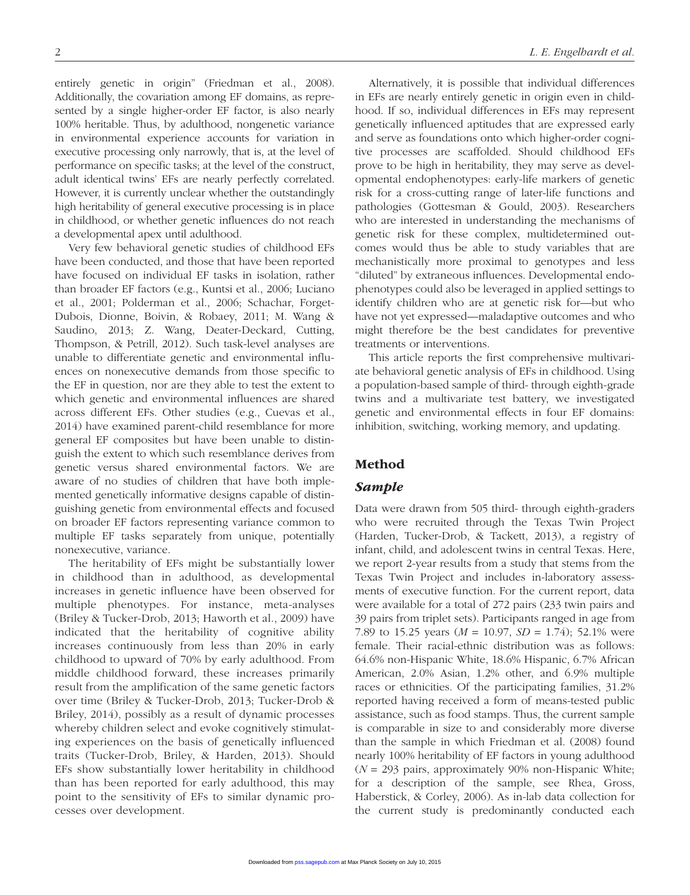entirely genetic in origin" (Friedman et al., 2008). Additionally, the covariation among EF domains, as represented by a single higher-order EF factor, is also nearly 100% heritable. Thus, by adulthood, nongenetic variance in environmental experience accounts for variation in executive processing only narrowly, that is, at the level of performance on specific tasks; at the level of the construct, adult identical twins' EFs are nearly perfectly correlated. However, it is currently unclear whether the outstandingly high heritability of general executive processing is in place in childhood, or whether genetic influences do not reach a developmental apex until adulthood.

Very few behavioral genetic studies of childhood EFs have been conducted, and those that have been reported have focused on individual EF tasks in isolation, rather than broader EF factors (e.g., Kuntsi et al., 2006; Luciano et al., 2001; Polderman et al., 2006; Schachar, Forget-Dubois, Dionne, Boivin, & Robaey, 2011; M. Wang & Saudino, 2013; Z. Wang, Deater-Deckard, Cutting, Thompson, & Petrill, 2012). Such task-level analyses are unable to differentiate genetic and environmental influences on nonexecutive demands from those specific to the EF in question, nor are they able to test the extent to which genetic and environmental influences are shared across different EFs. Other studies (e.g., Cuevas et al., 2014) have examined parent-child resemblance for more general EF composites but have been unable to distinguish the extent to which such resemblance derives from genetic versus shared environmental factors. We are aware of no studies of children that have both implemented genetically informative designs capable of distinguishing genetic from environmental effects and focused on broader EF factors representing variance common to multiple EF tasks separately from unique, potentially nonexecutive, variance.

The heritability of EFs might be substantially lower in childhood than in adulthood, as developmental increases in genetic influence have been observed for multiple phenotypes. For instance, meta-analyses (Briley & Tucker-Drob, 2013; Haworth et al., 2009) have indicated that the heritability of cognitive ability increases continuously from less than 20% in early childhood to upward of 70% by early adulthood. From middle childhood forward, these increases primarily result from the amplification of the same genetic factors over time (Briley & Tucker-Drob, 2013; Tucker-Drob & Briley, 2014), possibly as a result of dynamic processes whereby children select and evoke cognitively stimulating experiences on the basis of genetically influenced traits (Tucker-Drob, Briley, & Harden, 2013). Should EFs show substantially lower heritability in childhood than has been reported for early adulthood, this may point to the sensitivity of EFs to similar dynamic processes over development.

Alternatively, it is possible that individual differences in EFs are nearly entirely genetic in origin even in childhood. If so, individual differences in EFs may represent genetically influenced aptitudes that are expressed early and serve as foundations onto which higher-order cognitive processes are scaffolded. Should childhood EFs prove to be high in heritability, they may serve as developmental endophenotypes: early-life markers of genetic risk for a cross-cutting range of later-life functions and pathologies (Gottesman & Gould, 2003). Researchers who are interested in understanding the mechanisms of genetic risk for these complex, multidetermined outcomes would thus be able to study variables that are mechanistically more proximal to genotypes and less "diluted" by extraneous influences. Developmental endophenotypes could also be leveraged in applied settings to identify children who are at genetic risk for—but who have not yet expressed—maladaptive outcomes and who might therefore be the best candidates for preventive treatments or interventions.

This article reports the first comprehensive multivariate behavioral genetic analysis of EFs in childhood. Using a population-based sample of third- through eighth-grade twins and a multivariate test battery, we investigated genetic and environmental effects in four EF domains: inhibition, switching, working memory, and updating.

## Method

## *Sample*

Data were drawn from 505 third- through eighth-graders who were recruited through the Texas Twin Project (Harden, Tucker-Drob, & Tackett, 2013), a registry of infant, child, and adolescent twins in central Texas. Here, we report 2-year results from a study that stems from the Texas Twin Project and includes in-laboratory assessments of executive function. For the current report, data were available for a total of 272 pairs (233 twin pairs and 39 pairs from triplet sets). Participants ranged in age from 7.89 to 15.25 years (*M* = 10.97, *SD* = 1.74); 52.1% were female. Their racial-ethnic distribution was as follows: 64.6% non-Hispanic White, 18.6% Hispanic, 6.7% African American, 2.0% Asian, 1.2% other, and 6.9% multiple races or ethnicities. Of the participating families, 31.2% reported having received a form of means-tested public assistance, such as food stamps. Thus, the current sample is comparable in size to and considerably more diverse than the sample in which Friedman et al. (2008) found nearly 100% heritability of EF factors in young adulthood (*N* = 293 pairs, approximately 90% non-Hispanic White; for a description of the sample, see Rhea, Gross, Haberstick, & Corley, 2006). As in-lab data collection for the current study is predominantly conducted each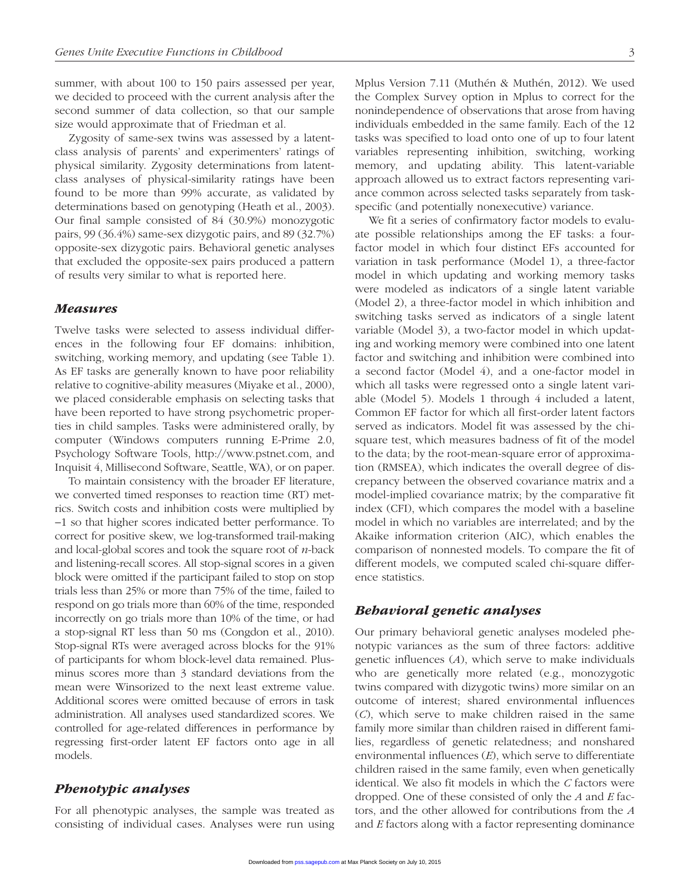summer, with about 100 to 150 pairs assessed per year, we decided to proceed with the current analysis after the second summer of data collection, so that our sample size would approximate that of Friedman et al.

Zygosity of same-sex twins was assessed by a latentclass analysis of parents' and experimenters' ratings of physical similarity. Zygosity determinations from latentclass analyses of physical-similarity ratings have been found to be more than 99% accurate, as validated by determinations based on genotyping (Heath et al., 2003). Our final sample consisted of 84 (30.9%) monozygotic pairs, 99 (36.4%) same-sex dizygotic pairs, and 89 (32.7%) opposite-sex dizygotic pairs. Behavioral genetic analyses that excluded the opposite-sex pairs produced a pattern of results very similar to what is reported here.

## *Measures*

Twelve tasks were selected to assess individual differences in the following four EF domains: inhibition, switching, working memory, and updating (see Table 1). As EF tasks are generally known to have poor reliability relative to cognitive-ability measures (Miyake et al., 2000), we placed considerable emphasis on selecting tasks that have been reported to have strong psychometric properties in child samples. Tasks were administered orally, by computer (Windows computers running E-Prime 2.0, Psychology Software Tools, <http://www.pstnet.com>, and Inquisit 4, Millisecond Software, Seattle, WA), or on paper.

To maintain consistency with the broader EF literature, we converted timed responses to reaction time (RT) metrics. Switch costs and inhibition costs were multiplied by −1 so that higher scores indicated better performance. To correct for positive skew, we log-transformed trail-making and local-global scores and took the square root of *n*-back and listening-recall scores. All stop-signal scores in a given block were omitted if the participant failed to stop on stop trials less than 25% or more than 75% of the time, failed to respond on go trials more than 60% of the time, responded incorrectly on go trials more than 10% of the time, or had a stop-signal RT less than 50 ms (Congdon et al., 2010). Stop-signal RTs were averaged across blocks for the 91% of participants for whom block-level data remained. Plusminus scores more than 3 standard deviations from the mean were Winsorized to the next least extreme value. Additional scores were omitted because of errors in task administration. All analyses used standardized scores. We controlled for age-related differences in performance by regressing first-order latent EF factors onto age in all models.

## *Phenotypic analyses*

For all phenotypic analyses, the sample was treated as consisting of individual cases. Analyses were run using Mplus Version 7.11 (Muthén & Muthén, 2012). We used the Complex Survey option in Mplus to correct for the nonindependence of observations that arose from having individuals embedded in the same family. Each of the 12 tasks was specified to load onto one of up to four latent variables representing inhibition, switching, working memory, and updating ability. This latent-variable approach allowed us to extract factors representing variance common across selected tasks separately from taskspecific (and potentially nonexecutive) variance.

We fit a series of confirmatory factor models to evaluate possible relationships among the EF tasks: a fourfactor model in which four distinct EFs accounted for variation in task performance (Model 1), a three-factor model in which updating and working memory tasks were modeled as indicators of a single latent variable (Model 2), a three-factor model in which inhibition and switching tasks served as indicators of a single latent variable (Model 3), a two-factor model in which updating and working memory were combined into one latent factor and switching and inhibition were combined into a second factor (Model 4), and a one-factor model in which all tasks were regressed onto a single latent variable (Model 5). Models 1 through 4 included a latent, Common EF factor for which all first-order latent factors served as indicators. Model fit was assessed by the chisquare test, which measures badness of fit of the model to the data; by the root-mean-square error of approximation (RMSEA), which indicates the overall degree of discrepancy between the observed covariance matrix and a model-implied covariance matrix; by the comparative fit index (CFI), which compares the model with a baseline model in which no variables are interrelated; and by the Akaike information criterion (AIC), which enables the comparison of nonnested models. To compare the fit of different models, we computed scaled chi-square difference statistics.

## *Behavioral genetic analyses*

Our primary behavioral genetic analyses modeled phenotypic variances as the sum of three factors: additive genetic influences (*A*), which serve to make individuals who are genetically more related (e.g., monozygotic twins compared with dizygotic twins) more similar on an outcome of interest; shared environmental influences (*C*), which serve to make children raised in the same family more similar than children raised in different families, regardless of genetic relatedness; and nonshared environmental influences (*E*), which serve to differentiate children raised in the same family, even when genetically identical. We also fit models in which the *C* factors were dropped. One of these consisted of only the *A* and *E* factors, and the other allowed for contributions from the *A* and *E* factors along with a factor representing dominance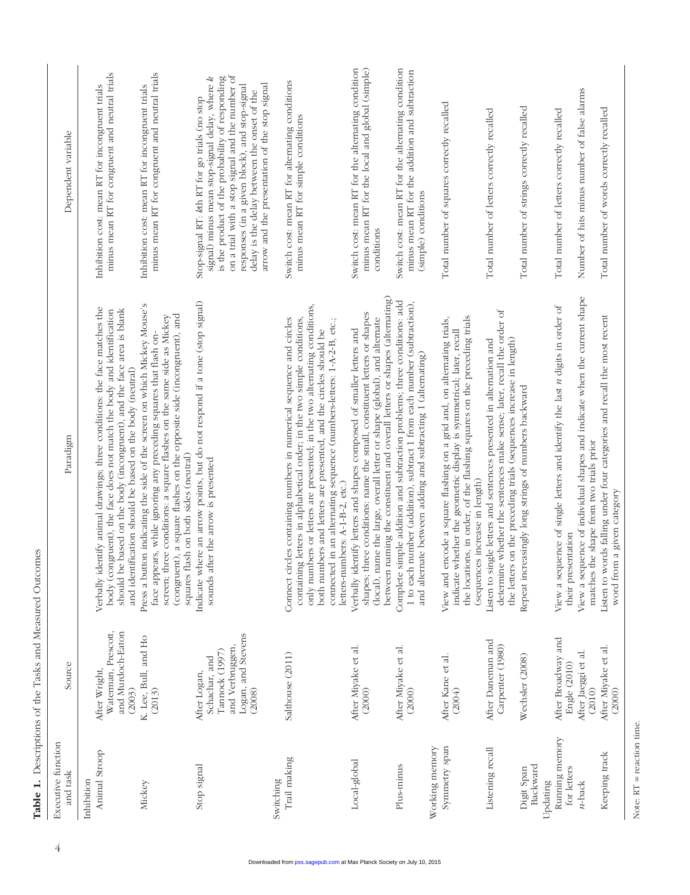| Executive function<br>Animal Stroop<br>and task<br>Inhibition | Source<br>After Wright,                                                                            | Verbally identify animal drawings; three conditions: the face matches the<br>Paradigm                                                                                                                                                                                                                                                                                      | Inhibition cost: mean RT for incongruent trials<br>Dependent variable                                                                                                                                                                                                                                                                                 |
|---------------------------------------------------------------|----------------------------------------------------------------------------------------------------|----------------------------------------------------------------------------------------------------------------------------------------------------------------------------------------------------------------------------------------------------------------------------------------------------------------------------------------------------------------------------|-------------------------------------------------------------------------------------------------------------------------------------------------------------------------------------------------------------------------------------------------------------------------------------------------------------------------------------------------------|
|                                                               | and Murdoch-Eaton<br>Waterman, Prescott,<br>(2003)                                                 | should be based on the body (incongruent), and the face area is blank<br>body (congruent), the face does not match the body and identification<br>and identification should be based on the body (neutral)                                                                                                                                                                 | minus mean RT for congruent and neutral trials                                                                                                                                                                                                                                                                                                        |
| Mickey                                                        | K. Lee, Bull, and Ho<br>(2013)                                                                     | Press a button indicating the side of the screen on which Mickey Mouse's<br>(congruent), a square flashes on the opposite side (incongruent), and<br>three conditions: a square flashes on the same side as Mickey<br>face appears, while ignoring any preceding squares that flash on-<br>squares flash on both sides (neutral)<br>screen;                                | minus mean RT for congruent and neutral trials<br>Inhibition cost: mean RT for incongruent trials                                                                                                                                                                                                                                                     |
| Stop signal                                                   | Logan, and Stevens<br>and Verbruggen,<br>Tannock (1997)<br>Schachar, and<br>After Logan,<br>(2008) | Indicate where an arrow points, but do not respond if a tone (stop signal)<br>sounds after the arrow is presented                                                                                                                                                                                                                                                          | is the product of the probability of responding<br>on a trial with a stop signal and the number of<br>signal) minus mean stop-signal delay, where k<br>arrow and the presentation of the stop signal<br>responses (in a given block), and stop-signal<br>delay is the delay between the onset of the<br>Stop-signal RT: kth RT for go trials (no stop |
| Trail making<br>Switching                                     | Salthouse (2011)                                                                                   | only numbers or letters are presented; in the two alternating conditions,<br>Connect circles containing numbers in numerical sequence and circles<br>containing letters in alphabetical order; in the two simple conditions,<br>connected in an alternating sequence (numbers-letters: 1-A-2-B, etc.;<br>both numbers and letters are presented, and the circles should be | Switch cost: mean RT for alternating conditions<br>minus mean RT for simple conditions                                                                                                                                                                                                                                                                |
| Local-global                                                  | After Miyake et al.<br>(2000)                                                                      | between naming the constituent and overall letters or shapes (alternating)<br>shapes; three conditions: name the small, constituent letters or shapes<br>name the large, overall letter or shape (global), and alternate<br>Verbally identify letters and shapes composed of smaller letters and<br>letters-numbers: A-1-B-2, etc.)<br>(local),                            | minus mean RT for the local and global (simple)<br>Switch cost: mean RT for the alternating condition<br>conditions                                                                                                                                                                                                                                   |
| Plus-minus                                                    | After Miyake et al.<br>(2000)                                                                      | simple addition and subtraction problems; three conditions: add<br>1 to each number (addition), subtract 1 from each number (subtraction),<br>and alternate between adding and subtracting 1 (alternating)<br>Complete                                                                                                                                                     | Switch cost: mean RT for the alternating condition<br>minus mean RT for the addition and subtraction<br>(simple) conditions                                                                                                                                                                                                                           |
| Working memory                                                |                                                                                                    |                                                                                                                                                                                                                                                                                                                                                                            |                                                                                                                                                                                                                                                                                                                                                       |
| Symmetry span                                                 | After Kane et al.<br>(2004)                                                                        | the locations, in order, of the flashing squares on the preceding trials<br>encode a square flashing on a grid and, on alternating trials,<br>whether the geometric display is symmetrical; later, recall<br>(sequences increase in length)<br>View and<br>indicate                                                                                                        | Total number of squares correctly recalled                                                                                                                                                                                                                                                                                                            |
| Listening recall                                              | After Daneman and<br>Carpenter (1980)                                                              | determine whether the sentences make sense; later, recall the order of<br>the letters on the preceding trials (sequences increase in length)<br>single letters and sentences presented in alternation and<br>Listen to                                                                                                                                                     | Total number of letters correctly recalled                                                                                                                                                                                                                                                                                                            |
| Backward<br>Digit Span<br>Updating                            | Wechsler (2008)                                                                                    | Repeat increasingly long strings of numbers backward                                                                                                                                                                                                                                                                                                                       | Total number of strings correctly recalled                                                                                                                                                                                                                                                                                                            |
| Running memory<br>for letters                                 | After Broadway and<br>Engle (2010)                                                                 | View a sequence of single letters and identify the last <i>n</i> digits in order of<br>their presentation                                                                                                                                                                                                                                                                  | Total number of letters correctly recalled                                                                                                                                                                                                                                                                                                            |
| $n$ -back                                                     | After Jaeggi et al<br>(2010)                                                                       | View a sequence of individual shapes and indicate when the current shape<br>matches the shape from two trials prior                                                                                                                                                                                                                                                        | Number of hits minus number of false alarms                                                                                                                                                                                                                                                                                                           |
| Keeping track                                                 | After Miyake et al.<br>(2000)                                                                      | words falling under four categories and recall the most recent<br>word from a given category<br>Listen to                                                                                                                                                                                                                                                                  | Total number of words correctly recalled                                                                                                                                                                                                                                                                                                              |

Note:  $RT = reaction time$ . Note: RT = reaction time.

 $\overline{\phantom{a}}$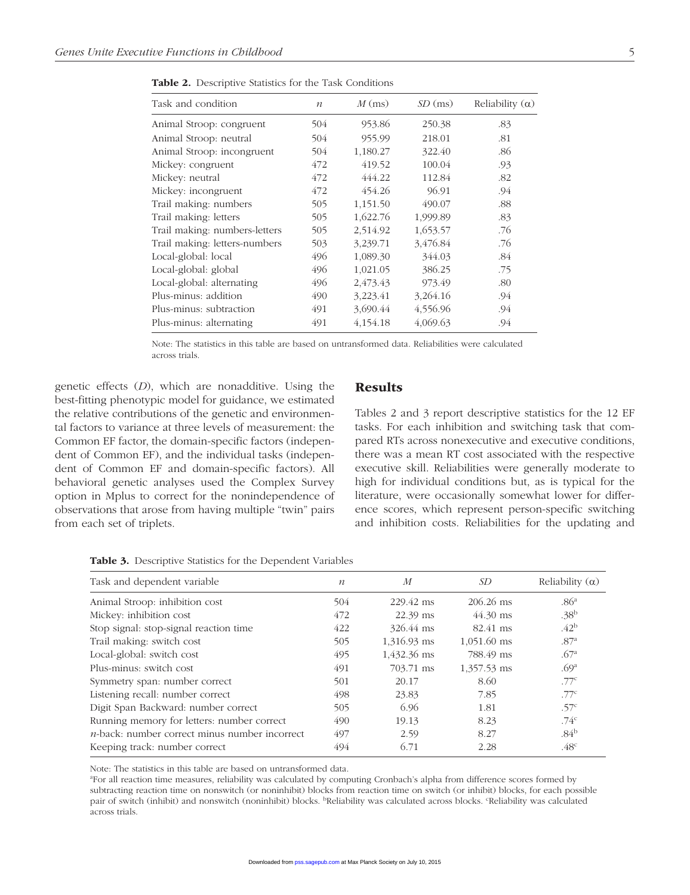| Task and condition            | $\boldsymbol{n}$ | $M$ (ms) | $SD$ (ms) | Reliability $(\alpha)$ |
|-------------------------------|------------------|----------|-----------|------------------------|
| Animal Stroop: congruent      | 504              | 953.86   | 250.38    | .83                    |
| Animal Stroop: neutral        | 504              | 955.99   | 218.01    | .81                    |
| Animal Stroop: incongruent    | 504              | 1,180.27 | 322.40    | .86                    |
| Mickey: congruent             | 472              | 419.52   | 100.04    | .93                    |
| Mickey: neutral               | 472              | 444.22   | 112.84    | .82                    |
| Mickey: incongruent           | 472              | 454.26   | 96.91     | .94                    |
| Trail making: numbers         | 505              | 1,151.50 | 490.07    | .88                    |
| Trail making: letters         | 505              | 1,622.76 | 1,999.89  | .83                    |
| Trail making: numbers-letters | 505              | 2,514.92 | 1,653.57  | .76                    |
| Trail making: letters-numbers | 503              | 3,239.71 | 3,476.84  | .76                    |
| Local-global: local           | 496              | 1,089.30 | 344.03    | .84                    |
| Local-global: global          | 496              | 1,021.05 | 386.25    | .75                    |
| Local-global: alternating     | 496              | 2,473.43 | 973.49    | .80                    |
| Plus-minus: addition          | 490              | 3,223.41 | 3,264.16  | .94                    |
| Plus-minus: subtraction       | 491              | 3,690.44 | 4,556.96  | .94                    |
| Plus-minus: alternating       | 491              | 4,154.18 | 4,069.63  | .94                    |
|                               |                  |          |           |                        |

Table 2. Descriptive Statistics for the Task Conditions

Note: The statistics in this table are based on untransformed data. Reliabilities were calculated across trials.

genetic effects (*D*), which are nonadditive. Using the best-fitting phenotypic model for guidance, we estimated the relative contributions of the genetic and environmental factors to variance at three levels of measurement: the Common EF factor, the domain-specific factors (independent of Common EF), and the individual tasks (independent of Common EF and domain-specific factors). All behavioral genetic analyses used the Complex Survey option in Mplus to correct for the nonindependence of observations that arose from having multiple "twin" pairs from each set of triplets.

## Results

Tables 2 and 3 report descriptive statistics for the 12 EF tasks. For each inhibition and switching task that compared RTs across nonexecutive and executive conditions, there was a mean RT cost associated with the respective executive skill. Reliabilities were generally moderate to high for individual conditions but, as is typical for the literature, were occasionally somewhat lower for difference scores, which represent person-specific switching and inhibition costs. Reliabilities for the updating and

| Task and dependent variable                      | $\boldsymbol{n}$ | М           | SD            | Reliability $(\alpha)$ |
|--------------------------------------------------|------------------|-------------|---------------|------------------------|
| Animal Stroop: inhibition cost                   | 504              | 229.42 ms   | $206.26$ ms   | .86 <sup>a</sup>       |
| Mickey: inhibition cost                          | 472              | 22.39 ms    | $44.30$ ms    | .38 <sup>b</sup>       |
| Stop signal: stop-signal reaction time           | 422              | 326.44 ms   | 82.41 ms      | .42 <sup>b</sup>       |
| Trail making: switch cost                        | 505              | 1,316.93 ms | $1,051.60$ ms | .87 <sup>a</sup>       |
| Local-global: switch cost                        | 495              | 1,432.36 ms | 788.49 ms     | .67 <sup>a</sup>       |
| Plus-minus: switch cost                          | 491              | 703.71 ms   | 1,357.53 ms   | .69 <sup>a</sup>       |
| Symmetry span: number correct                    | 501              | 20.17       | 8.60          | .77 <sup>c</sup>       |
| Listening recall: number correct                 | 498              | 23.83       | 7.85          | .77 <sup>c</sup>       |
| Digit Span Backward: number correct              | 505              | 6.96        | 1.81          | .57 <sup>c</sup>       |
| Running memory for letters: number correct       | 490              | 19.13       | 8.23          | .74 <sup>c</sup>       |
| $n$ -back: number correct minus number incorrect | 497              | 2.59        | 8.27          | .84 <sup>b</sup>       |
| Keeping track: number correct                    | 494              | 6.71        | 2.28          | .48 <sup>c</sup>       |

Table 3. Descriptive Statistics for the Dependent Variables

Note: The statistics in this table are based on untransformed data.

a For all reaction time measures, reliability was calculated by computing Cronbach's alpha from difference scores formed by subtracting reaction time on nonswitch (or noninhibit) blocks from reaction time on switch (or inhibit) blocks, for each possible pair of switch (inhibit) and nonswitch (noninhibit) blocks. <sup>b</sup>Reliability was calculated across blocks. <sup>c</sup>Reliability was calculated across trials.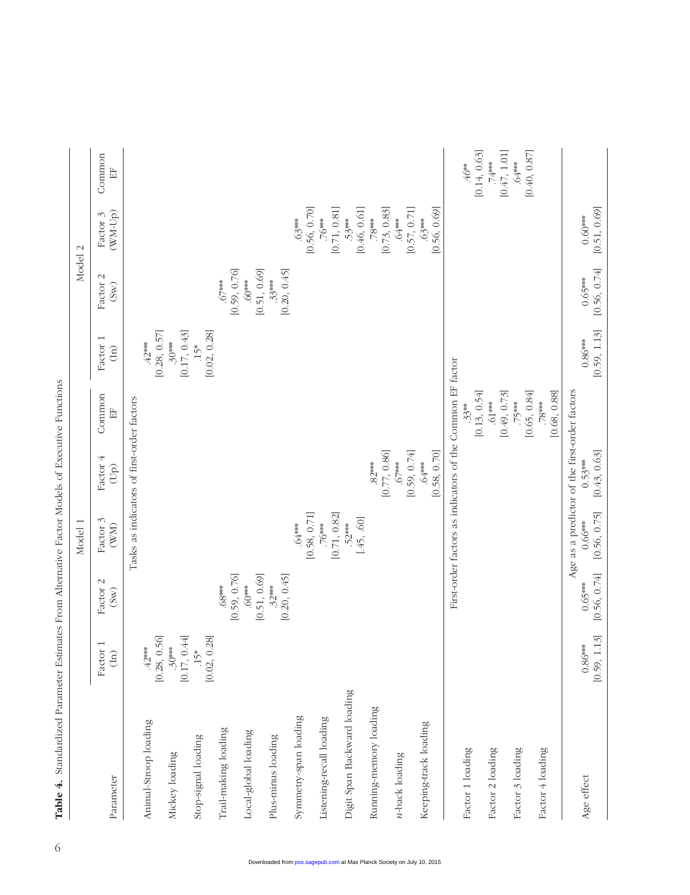| <b>Table 4.</b> Standardized Parameter Estimates From Alternative Factor Models of Executive Functions |                                                                      |                                       |                                        |                                                                            |                            |                           |                             |                                          |                               |
|--------------------------------------------------------------------------------------------------------|----------------------------------------------------------------------|---------------------------------------|----------------------------------------|----------------------------------------------------------------------------|----------------------------|---------------------------|-----------------------------|------------------------------------------|-------------------------------|
|                                                                                                        |                                                                      |                                       | Model 1                                |                                                                            |                            |                           | Model 2                     |                                          |                               |
| Parameter                                                                                              | Factor 1<br>$\begin{array}{c} \text{(in)}\\ \text{(in)} \end{array}$ | Factor 2<br>(Sw)                      | Factor 3<br>$\left( \text{WM} \right)$ | Factor 4<br>$\mathbf{d}$                                                   | Common<br>EF               | Factor 1<br>$\widehat{H}$ | Factor 2<br>(Sw)            | (WM-Up)<br>Factor 3                      | Common<br>$\mathbb{H}$        |
| Animal-Stroop loading                                                                                  | $42***$                                                              |                                       |                                        | Tasks as indicators of first-order factors                                 |                            | $.42***$                  |                             |                                          |                               |
| Mickey loading                                                                                         | [0.28, 0.56]<br>$30***$                                              |                                       |                                        |                                                                            |                            | [0.28, 0.57]<br>$30***$   |                             |                                          |                               |
| Stop-signal loading                                                                                    | [0.17, 0.44]<br>$.15*$                                               |                                       |                                        |                                                                            |                            | [0.17, 0.43]<br>$.15*$    |                             |                                          |                               |
| Trail-making loading                                                                                   | [0.02, 0.28]                                                         | $68***$                               |                                        |                                                                            |                            | [0.02, 0.28]              | $67***$                     |                                          |                               |
| Local-global loading                                                                                   |                                                                      | [0.51, 0.69]<br>[0.59, 0.76]<br>$.60$ |                                        |                                                                            |                            |                           | [0.59, 0.76]<br>$-60***$    |                                          |                               |
| Plus-minus loading                                                                                     |                                                                      | $.32***$                              |                                        |                                                                            |                            |                           | $[0.51, 0.69]$<br>$.33***$  |                                          |                               |
| Symmetry-span loading                                                                                  |                                                                      | [0.20, 0.45]                          | $.64***$                               |                                                                            |                            |                           | [0.20, 0.45]                | $.63***$                                 |                               |
| Listening-recall loading                                                                               |                                                                      |                                       | [0.58, 0.71]<br>$.76***$               |                                                                            |                            |                           |                             | [0.56, 0.70]<br>$.76***$                 |                               |
| Digit Span Backward loading                                                                            |                                                                      |                                       | $[0.71, \, 0.82]$<br>$.52***$          |                                                                            |                            |                           |                             | [0.71, 0.81]<br>[0.46, 0.61]<br>$.53***$ |                               |
| Running-memory loading                                                                                 |                                                                      |                                       | [.45, .60]                             | $.82***$                                                                   |                            |                           |                             | $.78***$                                 |                               |
| $n$ -back loading                                                                                      |                                                                      |                                       |                                        | [0.77, 0.86]<br>$67***$                                                    |                            |                           |                             | [0.73, 0.83]<br>$-64***$                 |                               |
| Keeping-track loading                                                                                  |                                                                      |                                       |                                        | $[0.59, 0.74]$<br>[0.58, 0.70]<br>$.64***$                                 |                            |                           |                             | [0.57, 0.71]<br>[0.56, 0.69]<br>$.63***$ |                               |
|                                                                                                        |                                                                      |                                       |                                        | First-order factors as indicators of the Common EF factor                  |                            |                           |                             |                                          |                               |
| Factor 1 loading                                                                                       |                                                                      |                                       |                                        |                                                                            | $[0.13, 0.54]$<br>$.33***$ |                           |                             |                                          | $[0.14, 0.63]$<br>.46**       |
| Factor 2 loading                                                                                       |                                                                      |                                       |                                        |                                                                            | [0.49, 0.73]<br>$61***$    |                           |                             |                                          | $[0.47, \, 1.01]$<br>$.74***$ |
| Factor 3 loading                                                                                       |                                                                      |                                       |                                        |                                                                            | [0.65, 0.84]<br>$.75***$   |                           |                             |                                          | [0.40, 0.87]<br>$.64***$      |
| Factor 4 loading                                                                                       |                                                                      |                                       |                                        |                                                                            | [0.68, 0.88]<br>$78***$    |                           |                             |                                          |                               |
| Age effect                                                                                             | [0.59, 1.13]<br>$0.86***$                                            | [0.56, 0.74]<br>$0.65***$             | [0.56, 0.75]<br>$0.66***$              | Age as a predictor of the first-order factors<br>[0.43, 0.63]<br>$0.53***$ |                            | [0.59, 1.13]<br>$0.86***$ | $[0.56, 0.74]$<br>$0.65***$ | [0.51, 0.69]<br>$0.60***$                |                               |

| I<br>l                   |  |
|--------------------------|--|
| l                        |  |
|                          |  |
|                          |  |
| $\overline{\phantom{a}}$ |  |
| I                        |  |
|                          |  |
|                          |  |
| I                        |  |
|                          |  |
| $\overline{a}$           |  |
|                          |  |
|                          |  |
|                          |  |
|                          |  |
|                          |  |
| Ì                        |  |
| j<br>l                   |  |
| Ì                        |  |
|                          |  |
|                          |  |
| l                        |  |
|                          |  |
|                          |  |
|                          |  |
| l                        |  |
|                          |  |
|                          |  |
| ١                        |  |
| l                        |  |
|                          |  |
|                          |  |
|                          |  |
| j                        |  |
| I<br>í                   |  |
|                          |  |
|                          |  |
| i<br>l<br>l              |  |
|                          |  |
|                          |  |
|                          |  |
|                          |  |
|                          |  |
| j                        |  |
|                          |  |
| ï<br>l                   |  |
| í                        |  |
|                          |  |
|                          |  |
|                          |  |
|                          |  |
|                          |  |
| Ś                        |  |
| l<br>l                   |  |
|                          |  |
| j                        |  |
| l                        |  |
| I<br>i                   |  |
|                          |  |
|                          |  |
|                          |  |
|                          |  |
|                          |  |
|                          |  |
| ֠                        |  |
|                          |  |
|                          |  |
| ׇ֚֬                      |  |
| I                        |  |
|                          |  |
| l<br>í                   |  |
|                          |  |
| í                        |  |
|                          |  |
|                          |  |
|                          |  |
|                          |  |
|                          |  |
|                          |  |
| $\overline{a}$           |  |
|                          |  |
|                          |  |
|                          |  |
| ׇ֚֘֡                     |  |
|                          |  |
|                          |  |
|                          |  |
|                          |  |
|                          |  |
| l                        |  |
|                          |  |
| ł                        |  |
|                          |  |
| Ì<br>١                   |  |
|                          |  |
|                          |  |
| ֕                        |  |
|                          |  |
| j<br>ł                   |  |
| l                        |  |
| į                        |  |
| į                        |  |
| ţ<br>Ì                   |  |
| ׇ֚֓֡                     |  |
|                          |  |
|                          |  |
|                          |  |
|                          |  |
|                          |  |
|                          |  |
| ŗ<br>(<br>J              |  |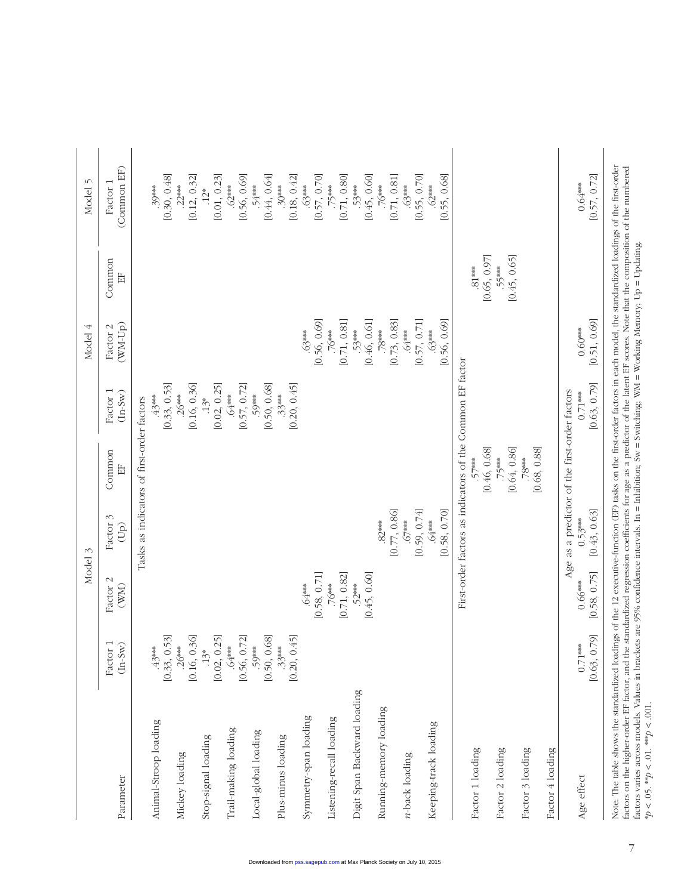|                             |                                         | Model 3                    |                                    |                                               |                                                           | Model 4                    |                         | Model 5                   |
|-----------------------------|-----------------------------------------|----------------------------|------------------------------------|-----------------------------------------------|-----------------------------------------------------------|----------------------------|-------------------------|---------------------------|
| Parameter                   | Factor 1<br>$(In-Sw)$                   | Factor 2<br>$(\mathbb{N})$ | Factor 3<br>$\overline{\text{CD}}$ | Common<br>EF                                  | Factor 1<br>$(In-Sw)$                                     | $(WM-Up)$<br>Factor 2      | Common<br>出             | (Common EF)<br>Factor 1   |
|                             |                                         |                            |                                    | Tasks as indicators of first-order factors    |                                                           |                            |                         |                           |
| Animal-Stroop loading       | [0.33, 0.53]<br>$.43***$                |                            |                                    |                                               | [0.33, 0.53]<br>$.43***$                                  |                            |                         | [0.30, 0.48]<br>$.39***$  |
| Mickey loading              | $[0.16, 0.36]$<br>$.26***$              |                            |                                    |                                               | [0.16, 0.36]<br>$.26***$                                  |                            |                         | [0.12, 0.32]<br>$.22***$  |
| Stop-signal loading         | $.13*$<br>[0.02, 0.25]                  |                            |                                    |                                               | [0.02, 0.25]<br>$.13*$                                    |                            |                         | [0.01, 0.23]<br>$.12*$    |
| Trail-making loading        | $.64***$                                |                            |                                    |                                               | $64***$                                                   |                            |                         | $.62***$                  |
| Local-global loading        | [0.56, 0.72]<br>$59***$<br>[0.50, 0.68] |                            |                                    |                                               | [0.57, 0.72]<br>59***                                     |                            |                         | [0.56, 0.69]<br>54***     |
| Plus-minus loading          | $.33***$                                |                            |                                    |                                               | [0.50, 0.68]<br>$.33***$                                  |                            |                         | [0.44, 0.64]<br>$30***$   |
| Symmetry-span loading       | [0.20, 0.45]                            | .64***                     |                                    |                                               | [0.20, 0.45]                                              | $.63***$                   |                         | [0.18, 0.42]<br>$.63***$  |
|                             |                                         | [0.58, 0.71]               |                                    |                                               |                                                           | [0.56, 0.69]               |                         | [0.57, 0.70]              |
| Listening-recall loading    |                                         | [0.71, 0.82]<br>$76***$    |                                    |                                               |                                                           | [0.71, 0.81]<br>$76***$    |                         | [0.71, 0.80]<br>$75***$   |
| Digit Span Backward loading |                                         | $.52***$                   |                                    |                                               |                                                           | .53***                     |                         | $.53***$                  |
| Running-memory loading      |                                         | [0.45, 0.60]               | $.82***$                           |                                               |                                                           | $[0.46, 0.61]$<br>$.78***$ |                         | [0.45, 0.60]<br>$.76***$  |
|                             |                                         |                            | [0.77, 0.86]                       |                                               |                                                           | [0.73, 0.83]               |                         | [0.71, 0.81]              |
| $n$ -back loading           |                                         |                            | [0.59, 0.74]<br>$\frac{1}{2}$      |                                               |                                                           | [0.57, 0.71]<br>$64***$    |                         | [0.55, 0.70]<br>$.63***$  |
| Keeping-track loading       |                                         |                            | [0.58, 0.70]<br>$.64***$           |                                               |                                                           | [0.56, 0.69]<br>$.63***$   |                         | [0.55, 0.68]<br>$.62***$  |
|                             |                                         |                            |                                    |                                               | First-order factors as indicators of the Common EF factor |                            |                         |                           |
| Factor 1 loading            |                                         |                            |                                    | [0.46, 0.68]<br>$57***$                       |                                                           |                            | [0.65, 0.97]<br>$81***$ |                           |
| Factor 2 loading            |                                         |                            |                                    | .75***                                        |                                                           |                            | .55***                  |                           |
| Factor 3 loading            |                                         |                            |                                    | [0.64, 0.86]<br>.78***                        |                                                           |                            | [0.45, 0.65]            |                           |
| Factor 4 loading            |                                         |                            |                                    | [0.68, 0.88]                                  |                                                           |                            |                         |                           |
| Age effect                  | [0.63, 0.79]<br>$0.71***$               | [0.58, 0.75]<br>$0.66***$  | [0.43, 0.63]<br>$0.53***$          | Age as a predictor of the first-order factors | [0.63, 0.79]<br>$0.71***$                                 | [0.51, 0.69]<br>$0.60***$  |                         | [0.57, 0.72]<br>$0.64***$ |

factors varies across models. Values in brackets are 95% confidence intervals. In = Inhibition; Sw = Switching; WM = Working Memory; Up = Updating.  $numy$ , up  $\frac{2}{8}$  $\frac{1}{2}$ grmm.  $\tilde{\circ}$ ractions values across intoitens. value of  $p < .05$ , \*\* $p < .01$ . \*\* $p < .001$ . \**p* < .05. \*\**p* < .01. \*\*\**p* < .001.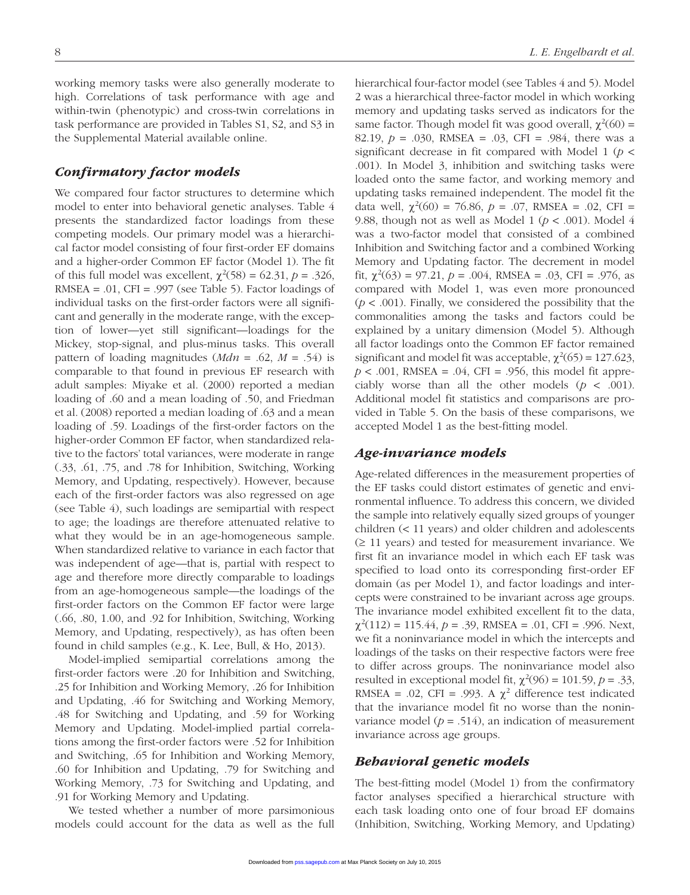working memory tasks were also generally moderate to high. Correlations of task performance with age and within-twin (phenotypic) and cross-twin correlations in task performance are provided in Tables S1, S2, and S3 in the Supplemental Material available online.

## *Confirmatory factor models*

We compared four factor structures to determine which model to enter into behavioral genetic analyses. Table 4 presents the standardized factor loadings from these competing models. Our primary model was a hierarchical factor model consisting of four first-order EF domains and a higher-order Common EF factor (Model 1). The fit of this full model was excellent,  $\chi^2(58) = 62.31$ ,  $p = .326$ , RMSEA =  $.01$ , CFI =  $.997$  (see Table 5). Factor loadings of individual tasks on the first-order factors were all significant and generally in the moderate range, with the exception of lower—yet still significant—loadings for the Mickey, stop-signal, and plus-minus tasks. This overall pattern of loading magnitudes (*Mdn* = .62, *M* = .54) is comparable to that found in previous EF research with adult samples: Miyake et al. (2000) reported a median loading of .60 and a mean loading of .50, and Friedman et al. (2008) reported a median loading of .63 and a mean loading of .59. Loadings of the first-order factors on the higher-order Common EF factor, when standardized relative to the factors' total variances, were moderate in range (.33, .61, .75, and .78 for Inhibition, Switching, Working Memory, and Updating, respectively). However, because each of the first-order factors was also regressed on age (see Table 4), such loadings are semipartial with respect to age; the loadings are therefore attenuated relative to what they would be in an age-homogeneous sample. When standardized relative to variance in each factor that was independent of age—that is, partial with respect to age and therefore more directly comparable to loadings from an age-homogeneous sample—the loadings of the first-order factors on the Common EF factor were large (.66, .80, 1.00, and .92 for Inhibition, Switching, Working Memory, and Updating, respectively), as has often been found in child samples (e.g., K. Lee, Bull, & Ho, 2013).

Model-implied semipartial correlations among the first-order factors were .20 for Inhibition and Switching, .25 for Inhibition and Working Memory, .26 for Inhibition and Updating, .46 for Switching and Working Memory, .48 for Switching and Updating, and .59 for Working Memory and Updating. Model-implied partial correlations among the first-order factors were .52 for Inhibition and Switching, .65 for Inhibition and Working Memory, .60 for Inhibition and Updating, .79 for Switching and Working Memory, .73 for Switching and Updating, and .91 for Working Memory and Updating.

We tested whether a number of more parsimonious models could account for the data as well as the full hierarchical four-factor model (see Tables 4 and 5). Model 2 was a hierarchical three-factor model in which working memory and updating tasks served as indicators for the same factor. Though model fit was good overall,  $\chi^2(60) =$ 82.19,  $p = .030$ , RMSEA =  $.03$ , CFI =  $.984$ , there was a significant decrease in fit compared with Model 1 (*p* < .001). In Model 3, inhibition and switching tasks were loaded onto the same factor, and working memory and updating tasks remained independent. The model fit the data well,  $\chi^2(60) = 76.86$ ,  $p = .07$ , RMSEA = .02, CFI = 9.88, though not as well as Model 1 ( $p < .001$ ). Model 4 was a two-factor model that consisted of a combined Inhibition and Switching factor and a combined Working Memory and Updating factor. The decrement in model fit,  $\chi^2(63) = 97.21$ ,  $p = .004$ , RMSEA = .03, CFI = .976, as compared with Model 1, was even more pronounced  $(p < .001)$ . Finally, we considered the possibility that the commonalities among the tasks and factors could be explained by a unitary dimension (Model 5). Although all factor loadings onto the Common EF factor remained significant and model fit was acceptable,  $\chi^2(65) = 127.623$ ,  $p < .001$ , RMSEA =  $.04$ , CFI =  $.956$ , this model fit appreciably worse than all the other models  $(p < .001)$ . Additional model fit statistics and comparisons are provided in Table 5. On the basis of these comparisons, we accepted Model 1 as the best-fitting model.

## *Age-invariance models*

Age-related differences in the measurement properties of the EF tasks could distort estimates of genetic and environmental influence. To address this concern, we divided the sample into relatively equally sized groups of younger children (< 11 years) and older children and adolescents  $(≥ 11$  years) and tested for measurement invariance. We first fit an invariance model in which each EF task was specified to load onto its corresponding first-order EF domain (as per Model 1), and factor loadings and intercepts were constrained to be invariant across age groups. The invariance model exhibited excellent fit to the data,  $\chi^2(112) = 115.44$ ,  $p = .39$ , RMSEA = .01, CFI = .996. Next, we fit a noninvariance model in which the intercepts and loadings of the tasks on their respective factors were free to differ across groups. The noninvariance model also resulted in exceptional model fit,  $\chi^2(96) = 101.59$ ,  $p = .33$ , RMSEA = .02, CFI = .993. A  $\chi^2$  difference test indicated that the invariance model fit no worse than the noninvariance model ( $p = .514$ ), an indication of measurement invariance across age groups.

## *Behavioral genetic models*

The best-fitting model (Model 1) from the confirmatory factor analyses specified a hierarchical structure with each task loading onto one of four broad EF domains (Inhibition, Switching, Working Memory, and Updating)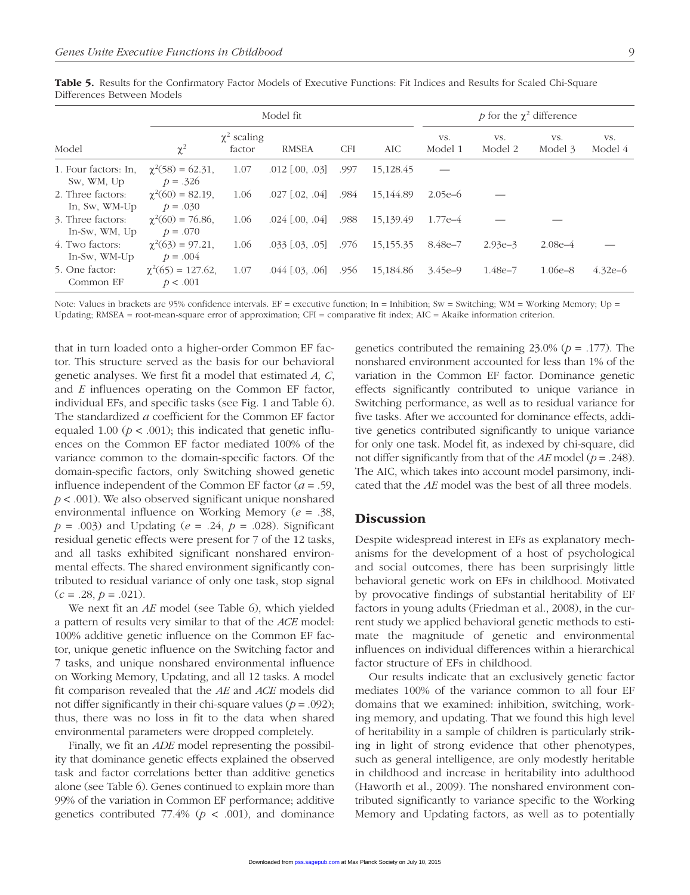|                                    |                                        |                            | Model fit           |            |           |                | p for the $\chi^2$ difference |                |                |
|------------------------------------|----------------------------------------|----------------------------|---------------------|------------|-----------|----------------|-------------------------------|----------------|----------------|
| Model                              | $\chi^2$                               | $\chi^2$ scaling<br>factor | <b>RMSEA</b>        | <b>CFI</b> | AIC       | VS.<br>Model 1 | VS.<br>Model 2                | VS.<br>Model 3 | VS.<br>Model 4 |
| 1. Four factors: In,<br>Sw, WM, Up | $\chi^2(58) = 62.31,$<br>$p = .326$    | 1.07                       | $.012$ $[.00, .03]$ | .997       | 15,128.45 |                |                               |                |                |
| 2. Three factors:<br>In, Sw, WM-Up | $\chi^2(60) = 82.19$ ,<br>$p = .030$   | 1.06                       | $.027$ $[.02, .04]$ | .984       | 15,144.89 | $2.05e-6$      |                               |                |                |
| 3. Three factors:<br>In-Sw, WM, Up | $\gamma^2(60) = 76.86$ ,<br>$p = .070$ | 1.06                       | $.024$ $[.00, .04]$ | .988       | 15,139.49 | $1.77e-4$      |                               |                |                |
| 4. Two factors:<br>In-Sw, WM-Up    | $\gamma^2(63) = 97.21$<br>$p = .004$   | 1.06                       | $.033$ $[.03, .05]$ | .976       | 15,155.35 | 8.48e-7        | $2.93e-3$                     | $2.08e-4$      |                |
| 5. One factor:<br>Common EF        | $\gamma^2(65) = 127.62$<br>p < .001    | 1.07                       | $.044$ $[.03, .06]$ | .956       | 15,184.86 | $3.45e-9$      | $1.48e - 7$                   | $1.06e - 8$    | $4.32e-6$      |

Table 5. Results for the Confirmatory Factor Models of Executive Functions: Fit Indices and Results for Scaled Chi-Square Differences Between Models

Note: Values in brackets are 95% confidence intervals. EF = executive function; In = Inhibition; Sw = Switching; WM = Working Memory; Up = Updating; RMSEA = root-mean-square error of approximation; CFI = comparative fit index; AIC = Akaike information criterion.

that in turn loaded onto a higher-order Common EF factor. This structure served as the basis for our behavioral genetic analyses. We first fit a model that estimated *A, C*, and *E* influences operating on the Common EF factor, individual EFs, and specific tasks (see Fig. 1 and Table 6). The standardized *a* coefficient for the Common EF factor equaled 1.00 ( $p < .001$ ); this indicated that genetic influences on the Common EF factor mediated 100% of the variance common to the domain-specific factors. Of the domain-specific factors, only Switching showed genetic influence independent of the Common EF factor (*a* = .59, *p* < .001). We also observed significant unique nonshared environmental influence on Working Memory (*e* = .38, *p* = .003) and Updating (*e* = .24, *p* = .028). Significant residual genetic effects were present for 7 of the 12 tasks, and all tasks exhibited significant nonshared environmental effects. The shared environment significantly contributed to residual variance of only one task, stop signal  $(c = .28, p = .021).$ 

We next fit an *AE* model (see Table 6), which yielded a pattern of results very similar to that of the *ACE* model: 100% additive genetic influence on the Common EF factor, unique genetic influence on the Switching factor and 7 tasks, and unique nonshared environmental influence on Working Memory, Updating, and all 12 tasks. A model fit comparison revealed that the *AE* and *ACE* models did not differ significantly in their chi-square values  $(p = .092)$ ; thus, there was no loss in fit to the data when shared environmental parameters were dropped completely.

Finally, we fit an *ADE* model representing the possibility that dominance genetic effects explained the observed task and factor correlations better than additive genetics alone (see Table 6). Genes continued to explain more than 99% of the variation in Common EF performance; additive genetics contributed  $77.4\%$  ( $p < .001$ ), and dominance genetics contributed the remaining 23.0% (*p* = .177). The nonshared environment accounted for less than 1% of the variation in the Common EF factor. Dominance genetic effects significantly contributed to unique variance in Switching performance, as well as to residual variance for five tasks. After we accounted for dominance effects, additive genetics contributed significantly to unique variance for only one task. Model fit, as indexed by chi-square, did not differ significantly from that of the *AE* model (*p* = .248). The AIC, which takes into account model parsimony, indicated that the *AE* model was the best of all three models.

## **Discussion**

Despite widespread interest in EFs as explanatory mechanisms for the development of a host of psychological and social outcomes, there has been surprisingly little behavioral genetic work on EFs in childhood. Motivated by provocative findings of substantial heritability of EF factors in young adults (Friedman et al., 2008), in the current study we applied behavioral genetic methods to estimate the magnitude of genetic and environmental influences on individual differences within a hierarchical factor structure of EFs in childhood.

Our results indicate that an exclusively genetic factor mediates 100% of the variance common to all four EF domains that we examined: inhibition, switching, working memory, and updating. That we found this high level of heritability in a sample of children is particularly striking in light of strong evidence that other phenotypes, such as general intelligence, are only modestly heritable in childhood and increase in heritability into adulthood (Haworth et al., 2009). The nonshared environment contributed significantly to variance specific to the Working Memory and Updating factors, as well as to potentially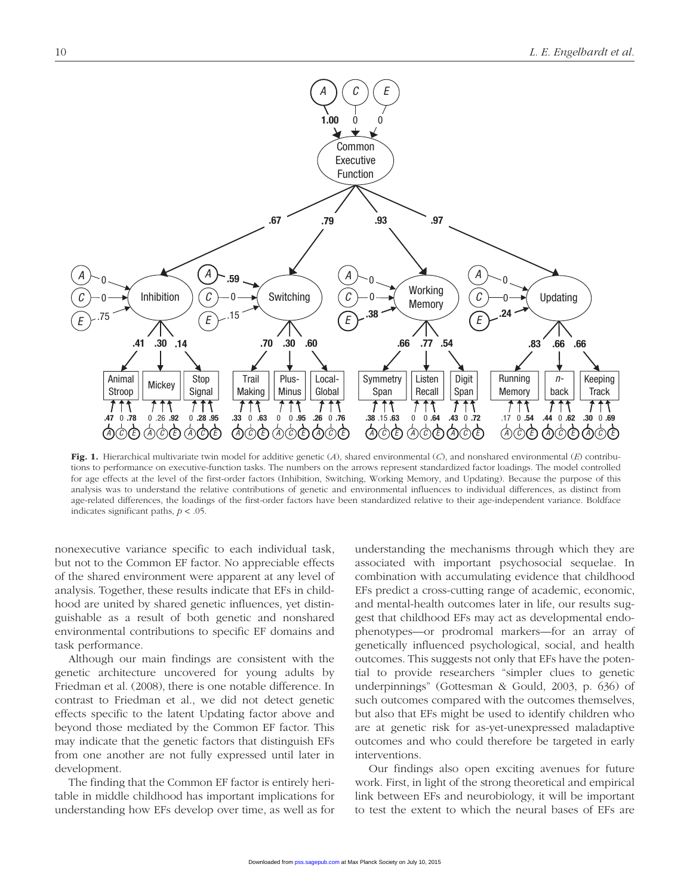

Fig. 1. Hierarchical multivariate twin model for additive genetic (*A*), shared environmental (*C*), and nonshared environmental (*E*) contributions to performance on executive-function tasks. The numbers on the arrows represent standardized factor loadings. The model controlled for age effects at the level of the first-order factors (Inhibition, Switching, Working Memory, and Updating). Because the purpose of this analysis was to understand the relative contributions of genetic and environmental influences to individual differences, as distinct from age-related differences, the loadings of the first-order factors have been standardized relative to their age-independent variance. Boldface indicates significant paths, *p* < .05.

nonexecutive variance specific to each individual task, but not to the Common EF factor. No appreciable effects of the shared environment were apparent at any level of analysis. Together, these results indicate that EFs in childhood are united by shared genetic influences, yet distinguishable as a result of both genetic and nonshared environmental contributions to specific EF domains and task performance.

Although our main findings are consistent with the genetic architecture uncovered for young adults by Friedman et al. (2008), there is one notable difference. In contrast to Friedman et al., we did not detect genetic effects specific to the latent Updating factor above and beyond those mediated by the Common EF factor. This may indicate that the genetic factors that distinguish EFs from one another are not fully expressed until later in development.

The finding that the Common EF factor is entirely heritable in middle childhood has important implications for understanding how EFs develop over time, as well as for understanding the mechanisms through which they are associated with important psychosocial sequelae. In combination with accumulating evidence that childhood EFs predict a cross-cutting range of academic, economic, and mental-health outcomes later in life, our results suggest that childhood EFs may act as developmental endophenotypes—or prodromal markers—for an array of genetically influenced psychological, social, and health outcomes. This suggests not only that EFs have the potential to provide researchers "simpler clues to genetic underpinnings" (Gottesman & Gould, 2003, p. 636) of such outcomes compared with the outcomes themselves, but also that EFs might be used to identify children who are at genetic risk for as-yet-unexpressed maladaptive outcomes and who could therefore be targeted in early interventions.

Our findings also open exciting avenues for future work. First, in light of the strong theoretical and empirical link between EFs and neurobiology, it will be important to test the extent to which the neural bases of EFs are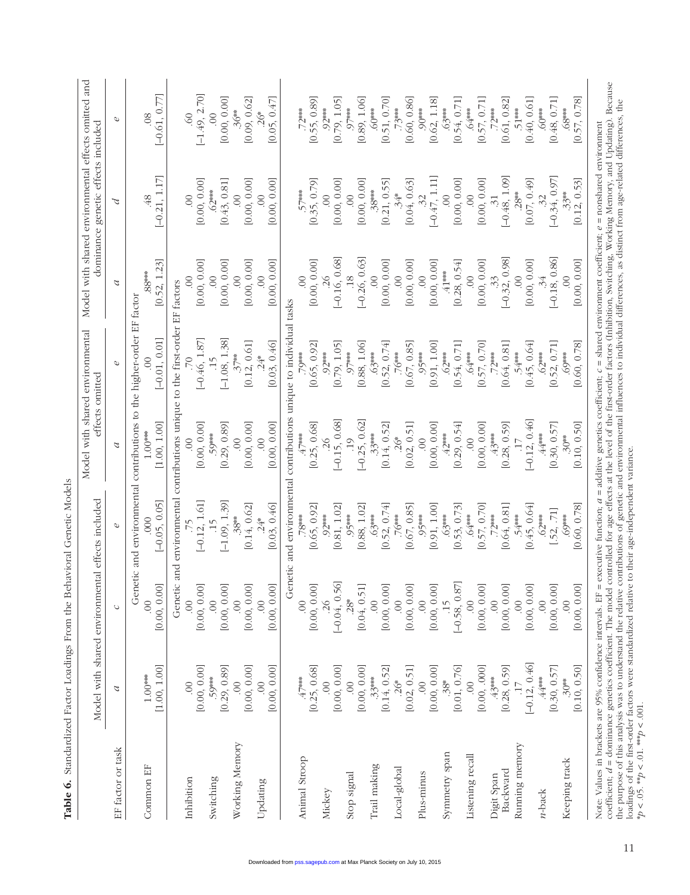|                                                                                                                                                                                                                                                                                                                                                                                                                                                                                                                                                                                                       |                              | Model with shared environmental effects included |                                        |                                  | Model with shared environmental<br>effects omitted                                                                           |                                         | Model with shared environmental effects omitted and<br>dominance genetic effects included |                                            |
|-------------------------------------------------------------------------------------------------------------------------------------------------------------------------------------------------------------------------------------------------------------------------------------------------------------------------------------------------------------------------------------------------------------------------------------------------------------------------------------------------------------------------------------------------------------------------------------------------------|------------------------------|--------------------------------------------------|----------------------------------------|----------------------------------|------------------------------------------------------------------------------------------------------------------------------|-----------------------------------------|-------------------------------------------------------------------------------------------|--------------------------------------------|
| EF factor or task                                                                                                                                                                                                                                                                                                                                                                                                                                                                                                                                                                                     |                              |                                                  |                                        | a                                | $\mathcal O$                                                                                                                 | a                                       | Þ                                                                                         | c                                          |
| Common EF                                                                                                                                                                                                                                                                                                                                                                                                                                                                                                                                                                                             | [1.00, 1.00]<br>$1.00***$    | [0.00, 0.00]<br>$\overline{0}$                   | $[-0.05, 0.05]$<br>000                 | [1.00, 1.00]<br>$1.00***$        | Genetic and environmental contributions to the higher-order EF factor<br>$[-0.01, 0.01]$                                     | [0.52, 1.23]<br>$88***$                 | $-0.21, 1.17$                                                                             | $[-0.61, 0.77]$<br>$\frac{8}{3}$           |
| Inhibition                                                                                                                                                                                                                                                                                                                                                                                                                                                                                                                                                                                            |                              | Geneti                                           |                                        |                                  | c and environmental contributions unique to the first-order EF factors                                                       |                                         | $\odot$                                                                                   | $\odot$                                    |
| Switching                                                                                                                                                                                                                                                                                                                                                                                                                                                                                                                                                                                             | [0.00, 0.00]<br>59***        | [0.00, 0.00]<br>[0.00, 0.00]<br>$\overline{0}$   | $[-0.12, 1.61]$                        | [0.00, 0.00]<br>59***            | $[-0.46, 1.87]$                                                                                                              | [0.00, 0.00]<br>$\approx$               | [0.00, 0.00]<br>$.62***$                                                                  | $[-1.49, 2.70]$<br>[0.00, 0.00]<br>$\circ$ |
| Working Memory                                                                                                                                                                                                                                                                                                                                                                                                                                                                                                                                                                                        | [0.29, 0.89]                 | $\overline{0}$                                   | $[-1.09, 1.39]$<br>$38***$             | [0.29, 0.89]                     | $[-1.08, 1.38]$<br>$.37***$                                                                                                  | [0.00, 0.00]                            | [0.43, 0.81]<br>$\overline{0}$                                                            | $.36***$                                   |
| Updating                                                                                                                                                                                                                                                                                                                                                                                                                                                                                                                                                                                              | [0.00, 0.00]<br>[0.00, 0.00] | [0.00, 0.00]<br>[0.00, 0.00]<br>$\odot$          | [0.14, 0.62]<br>[0.03, 0.46]<br>$.24*$ | [0.00, 0.00]<br>[0.00, 0.00]     | [0.12, 0.61]<br>[0.03, 0.46]<br>$.24*$                                                                                       | [0.00, 0.00]<br>[0.00, 0.00]<br>$\odot$ | [0.00, 0.00]<br>[0.00, 0.00]<br>$\odot$                                                   | [0.09, 0.62]<br>[0.05, 0.47]<br>$26*$      |
|                                                                                                                                                                                                                                                                                                                                                                                                                                                                                                                                                                                                       |                              |                                                  | Genetic and environmental              |                                  | contributions unique to individual tasks                                                                                     |                                         |                                                                                           |                                            |
| Animal Stroop                                                                                                                                                                                                                                                                                                                                                                                                                                                                                                                                                                                         | [0.25, 0.68]<br>$47***$      | [0.00, 0.00]<br>$\overline{0}$                   | 0.65, 0.92<br>$78***$                  | [0.25, 0.68]<br>$47***$          | [0.65, 0.92]<br>70***                                                                                                        | [0.00, 0.00]                            | [0.35, 0.79]<br>57***                                                                     | [0.55, 0.89]<br>$.72***$                   |
| Mickey                                                                                                                                                                                                                                                                                                                                                                                                                                                                                                                                                                                                | [0.00, 0.00]                 |                                                  | [0.81, 1.02]<br>$.92***$               | $[-0.15, 0.68]$                  | [0.79, 1.05]<br>.92***                                                                                                       | $[-0.16, 0.68]$                         | [0.00, 0.00]                                                                              | [0.79, 1.05]<br>.92***                     |
| Stop signal                                                                                                                                                                                                                                                                                                                                                                                                                                                                                                                                                                                           | [0.00, 0.00]                 | $[-0.04, 0.56]$<br>$.28*$<br>[0.04, 0.51]        | [0.88, 1.02]<br>.95***                 | $[-0.25, 0.62]$<br>$\frac{1}{2}$ | [0.88, 1.06]<br>.97***                                                                                                       | $[-0.26, 0.63]$<br>$\frac{18}{1}$       | [0.00, 0.00]<br>$\odot$                                                                   | [0.89, 1.06]<br>.97***                     |
| Trail making                                                                                                                                                                                                                                                                                                                                                                                                                                                                                                                                                                                          | [0.14, 0.52]<br>$.33***$     | [0.00, 0.00]                                     | [0.52, 0.74]<br>$.63***$               | [0.14, 0.52]<br>$.33***$         | [0.52, 0.74]<br>$.63***$                                                                                                     | [0.00, 0.00]                            | [0.21, 0.55]<br>$.38***$                                                                  | [0.51, 0.70]<br>$60***$                    |
| Local-global                                                                                                                                                                                                                                                                                                                                                                                                                                                                                                                                                                                          | $[0.02, 0.51]$               | [0.00, 0.00]<br>$\ddot{\circ}$                   | [0.67, 0.85]<br>$76***$                | [0.02, 0.51]<br>$.26*$           | [0.67, 0.85]<br>$76***$                                                                                                      | [0.00, 0.00]<br>$\odot$                 | [0.04, 0.63]<br>$.34*$                                                                    | [0.60, 0.86]<br>$.73***$                   |
| Plus-minus                                                                                                                                                                                                                                                                                                                                                                                                                                                                                                                                                                                            | [0.00, 0.00]                 | $\ddot{\circ}$                                   | [0.91, 1.00]<br>.95***                 | [0.00, 0.00]<br>$\odot$          | [0.91, 1.00]<br>.95***                                                                                                       | [0.00, 0.00]<br>$\ddot{\circ}$          | $[-0.47, 1.11]$                                                                           | [0.62, 1.18]<br>3000                       |
| Symmetry span                                                                                                                                                                                                                                                                                                                                                                                                                                                                                                                                                                                         | $[0.01,\, 0.76]$             | $[0.00, 0.00]$<br>$.15$                          | [0.53, 0.73]<br>$.63***$               | [0.29, 0.54]<br>$.42***$         | [0.54, 0.71]<br>$.62***$                                                                                                     | [0.28, 0.54]<br>$41^{\ast\ast\ast}$     | [0.00, 0.00]                                                                              | 0.54, 0.71<br>$.63***$                     |
| Listening recall                                                                                                                                                                                                                                                                                                                                                                                                                                                                                                                                                                                      | [0.00, .000]                 | $[-0.58, 0.87]$ 0.87]<br>[0.00, 0.00]            | [0.57, 0.70]<br>$.64***$               | [0.00, 0.00]                     | [0.57, 0.70]<br>$.64***$                                                                                                     | [0.00, 0.00]                            | [0.00, 0.00]                                                                              | [0.57, 0.71]<br>$64***$                    |
| Backward<br>Digit Span                                                                                                                                                                                                                                                                                                                                                                                                                                                                                                                                                                                | [0.28, 0.59]<br>$43***$      | [0.00, 0.00]                                     | [0.64, 0.81]<br>$.72***$               | [0.28, 0.59]<br>$43***$          | [0.64, 0.81]<br>72***                                                                                                        | $[-0.32, 0.98]$                         | $[-0.48, 1.09]$                                                                           | [0.61, 0.82]<br>$.72***$                   |
| Running memory                                                                                                                                                                                                                                                                                                                                                                                                                                                                                                                                                                                        | $[-0.12, 0.46]$              | [0.00, 0.00]                                     | [0.45, 0.64]<br>54***                  | $[-0.12, 0.46]$                  | [0.45, 0.64]<br>$-54***$                                                                                                     | [0.00, 0.00]<br>$\approx$               | [0.07, 0.49]<br>$.28**$                                                                   | 0.40, 0.61<br>$51***$                      |
| $n$ -back                                                                                                                                                                                                                                                                                                                                                                                                                                                                                                                                                                                             | [0.30, 0.57]<br>44***        | [0.00, 0.00]                                     | [.52, .71]<br>$.62***$                 | [0.30, 0.57]<br>$.44***$         | [0.52, 0.71]<br>$.62***$                                                                                                     | $[-0.18, 0.86]$                         | $[-0.34, 0.97]$                                                                           | [0.48, 0.71]<br>$60***$                    |
| Keeping track                                                                                                                                                                                                                                                                                                                                                                                                                                                                                                                                                                                         | $[0.10, 0.50]$<br>$.30***$   | [0.00, 0.00]                                     | [0.60, 0.78]<br>.69***                 | [0.10, 0.50]<br>$.30**$          | [0.60, 0.78]<br>$-69***$                                                                                                     | [0.00, 0.00]<br>$\overline{0}$          | [0.12, 0.53]<br>$.33***$                                                                  | [0.57, 0.78]<br>$-8$ ***                   |
| coefficient; $d =$ dominance genetics coefficient. The model controlled for age effects at the level of the first-order factors (Inhibition, Switching, Working Memory, and Updating). Because<br>the purpose of this analysis was to understand the relative contributions of genetic and environmental influences to individual differences, as distinct from age-related differences, the<br>loadings of the first-order factors were standardized relative to their age-independent variance<br>Note: Values in brackets are 95% confidence intervals. EF<br>$*< 0.05$ . $*< 0.01$ . $*< 0.001$ . |                              |                                                  |                                        |                                  | = executive function; $a$ = additive genetics coefficient; $c$ = shared environment coefficient; $e$ = nonshared environment |                                         |                                                                                           |                                            |

Table 6. Standardized Factor Loadings From the Behavioral Genetic Models Table 6. Standardized Factor Loadings From the Behavioral Genetic Models

11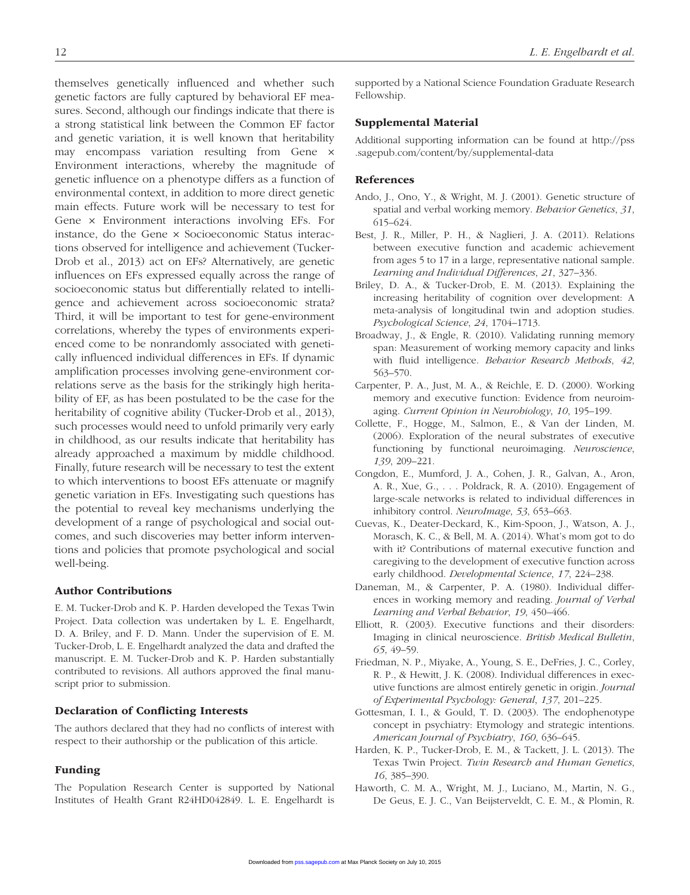themselves genetically influenced and whether such genetic factors are fully captured by behavioral EF measures. Second, although our findings indicate that there is a strong statistical link between the Common EF factor and genetic variation, it is well known that heritability may encompass variation resulting from Gene × Environment interactions, whereby the magnitude of genetic influence on a phenotype differs as a function of environmental context, in addition to more direct genetic main effects. Future work will be necessary to test for Gene × Environment interactions involving EFs. For instance, do the Gene × Socioeconomic Status interactions observed for intelligence and achievement (Tucker-Drob et al., 2013) act on EFs? Alternatively, are genetic influences on EFs expressed equally across the range of socioeconomic status but differentially related to intelligence and achievement across socioeconomic strata? Third, it will be important to test for gene-environment correlations, whereby the types of environments experienced come to be nonrandomly associated with genetically influenced individual differences in EFs. If dynamic amplification processes involving gene-environment correlations serve as the basis for the strikingly high heritability of EF, as has been postulated to be the case for the heritability of cognitive ability (Tucker-Drob et al., 2013), such processes would need to unfold primarily very early in childhood, as our results indicate that heritability has already approached a maximum by middle childhood. Finally, future research will be necessary to test the extent to which interventions to boost EFs attenuate or magnify genetic variation in EFs. Investigating such questions has the potential to reveal key mechanisms underlying the development of a range of psychological and social outcomes, and such discoveries may better inform interventions and policies that promote psychological and social well-being.

#### Author Contributions

E. M. Tucker-Drob and K. P. Harden developed the Texas Twin Project. Data collection was undertaken by L. E. Engelhardt, D. A. Briley, and F. D. Mann. Under the supervision of E. M. Tucker-Drob, L. E. Engelhardt analyzed the data and drafted the manuscript. E. M. Tucker-Drob and K. P. Harden substantially contributed to revisions. All authors approved the final manuscript prior to submission.

## Declaration of Conflicting Interests

The authors declared that they had no conflicts of interest with respect to their authorship or the publication of this article.

#### Funding

The Population Research Center is supported by National Institutes of Health Grant R24HD042849. L. E. Engelhardt is supported by a National Science Foundation Graduate Research Fellowship.

#### Supplemental Material

Additional supporting information can be found at [http://pss](http://pss.sagepub.com/content/by/supplemental-data) [.sagepub.com/content/by/supplemental-data](http://pss.sagepub.com/content/by/supplemental-data)

#### References

- Ando, J., Ono, Y., & Wright, M. J. (2001). Genetic structure of spatial and verbal working memory. *Behavior Genetics*, *31*, 615–624.
- Best, J. R., Miller, P. H., & Naglieri, J. A. (2011). Relations between executive function and academic achievement from ages 5 to 17 in a large, representative national sample. *Learning and Individual Differences*, *21*, 327–336.
- Briley, D. A., & Tucker-Drob, E. M. (2013). Explaining the increasing heritability of cognition over development: A meta-analysis of longitudinal twin and adoption studies. *Psychological Science*, *24*, 1704–1713.
- Broadway, J., & Engle, R. (2010). Validating running memory span: Measurement of working memory capacity and links with fluid intelligence. *Behavior Research Methods*, *42*, 563–570.
- Carpenter, P. A., Just, M. A., & Reichle, E. D. (2000). Working memory and executive function: Evidence from neuroimaging. *Current Opinion in Neurobiology*, *10*, 195–199.
- Collette, F., Hogge, M., Salmon, E., & Van der Linden, M. (2006). Exploration of the neural substrates of executive functioning by functional neuroimaging. *Neuroscience*, *139*, 209–221.
- Congdon, E., Mumford, J. A., Cohen, J. R., Galvan, A., Aron, A. R., Xue, G., . . . Poldrack, R. A. (2010). Engagement of large-scale networks is related to individual differences in inhibitory control. *NeuroImage*, *53*, 653–663.
- Cuevas, K., Deater-Deckard, K., Kim-Spoon, J., Watson, A. J., Morasch, K. C., & Bell, M. A. (2014). What's mom got to do with it? Contributions of maternal executive function and caregiving to the development of executive function across early childhood. *Developmental Science*, *17*, 224–238.
- Daneman, M., & Carpenter, P. A. (1980). Individual differences in working memory and reading. *Journal of Verbal Learning and Verbal Behavior*, *19*, 450–466.
- Elliott, R. (2003). Executive functions and their disorders: Imaging in clinical neuroscience. *British Medical Bulletin*, *65*, 49–59.
- Friedman, N. P., Miyake, A., Young, S. E., DeFries, J. C., Corley, R. P., & Hewitt, J. K. (2008). Individual differences in executive functions are almost entirely genetic in origin. *Journal of Experimental Psychology: General*, *137*, 201–225.
- Gottesman, I. I., & Gould, T. D. (2003). The endophenotype concept in psychiatry: Etymology and strategic intentions. *American Journal of Psychiatry*, *160*, 636–645.
- Harden, K. P., Tucker-Drob, E. M., & Tackett, J. L. (2013). The Texas Twin Project. *Twin Research and Human Genetics*, *16*, 385–390.
- Haworth, C. M. A., Wright, M. J., Luciano, M., Martin, N. G., De Geus, E. J. C., Van Beijsterveldt, C. E. M., & Plomin, R.